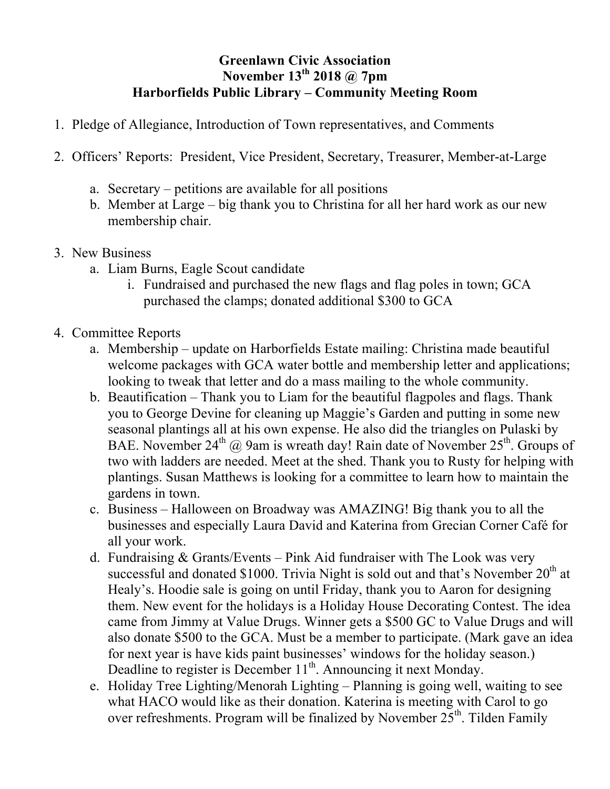## **Greenlawn Civic Association November 13th 2018 @ 7pm Harborfields Public Library – Community Meeting Room**

- 1. Pledge of Allegiance, Introduction of Town representatives, and Comments
- 2. Officers' Reports: President, Vice President, Secretary, Treasurer, Member-at-Large
	- a. Secretary petitions are available for all positions
	- b. Member at Large big thank you to Christina for all her hard work as our new membership chair.
- 3. New Business
	- a. Liam Burns, Eagle Scout candidate
		- i. Fundraised and purchased the new flags and flag poles in town; GCA purchased the clamps; donated additional \$300 to GCA
- 4. Committee Reports
	- a. Membership update on Harborfields Estate mailing: Christina made beautiful welcome packages with GCA water bottle and membership letter and applications; looking to tweak that letter and do a mass mailing to the whole community.
	- b. Beautification Thank you to Liam for the beautiful flagpoles and flags. Thank you to George Devine for cleaning up Maggie's Garden and putting in some new seasonal plantings all at his own expense. He also did the triangles on Pulaski by BAE. November 24<sup>th</sup> @ 9am is wreath day! Rain date of November 25<sup>th</sup>. Groups of two with ladders are needed. Meet at the shed. Thank you to Rusty for helping with plantings. Susan Matthews is looking for a committee to learn how to maintain the gardens in town.
	- c. Business Halloween on Broadway was AMAZING! Big thank you to all the businesses and especially Laura David and Katerina from Grecian Corner Café for all your work.
	- d. Fundraising & Grants/Events Pink Aid fundraiser with The Look was very successful and donated \$1000. Trivia Night is sold out and that's November  $20<sup>th</sup>$  at Healy's. Hoodie sale is going on until Friday, thank you to Aaron for designing them. New event for the holidays is a Holiday House Decorating Contest. The idea came from Jimmy at Value Drugs. Winner gets a \$500 GC to Value Drugs and will also donate \$500 to the GCA. Must be a member to participate. (Mark gave an idea for next year is have kids paint businesses' windows for the holiday season.) Deadline to register is December  $11<sup>th</sup>$ . Announcing it next Monday.
	- e. Holiday Tree Lighting/Menorah Lighting Planning is going well, waiting to see what HACO would like as their donation. Katerina is meeting with Carol to go over refreshments. Program will be finalized by November  $25<sup>th</sup>$ . Tilden Family